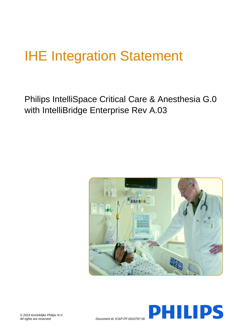# IHE Integration Statement

Philips IntelliSpace Critical Care & Anesthesia G.0 with IntelliBridge Enterprise Rev A.03





*All rights are reserved. Document id: ICAP-PF.0010797.00*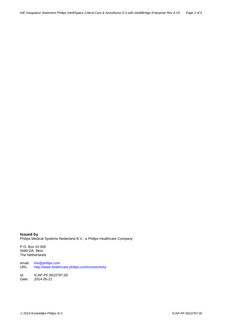**Issued by** Philips Medical Systems Nederland B.V., a Philips Healthcare Company

P.O. Box 10 000 5680 DA Best The Netherlands

email: [ihe@philips.com](mailto:ihe@philips.com)<br>URL: http://www.health <http://www.healthcare.philips.com/connectivity>

Id: ICAP-PF.0010797.00<br>Date: 2014-05-21 Date: 2014-05-21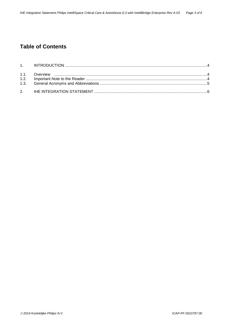# **Table of Contents**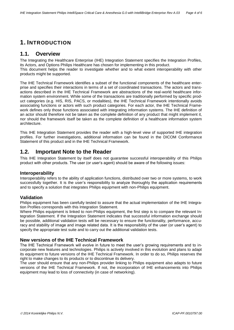## **1. INTRODUCTION**

### **1.1. Overview**

The Integrating the Healthcare Enterprise (IHE) Integration Statement specifies the Integration Profiles, its Actors, and Options Philips Healthcare has chosen for implementing in this product.

This document helps the reader to investigate whether and to what extent interoperability with other products might be supported.

The IHE Technical Framework identifies a subset of the functional components of the healthcare enterprise and specifies their interactions in terms of a set of coordinated transactions. The actors and transactions described in the IHE Technical Framework are abstractions of the real-world healthcare information system environment. While some of the transactions are traditionally performed by specific product categories (e.g. HIS, RIS, PACS, or modalities), the IHE Technical Framework intentionally avoids associating functions or actors with such product categories. For each actor, the IHE Technical Framework defines only those functions associated with integrating information systems. The IHE definition of an actor should therefore not be taken as the complete definition of any product that might implement it, nor should the framework itself be taken as the complete definition of a healthcare information system architecture.

This IHE Integration Statement provides the reader with a high-level view of supported IHE integration profiles. For further investigations, additional information can be found in the DICOM Conformance Statement of this product and in the IHE Technical Framework.

## **1.2. Important Note to the Reader**

This IHE Integration Statement by itself does not guarantee successful interoperability of this Philips product with other products. The user (or user's agent) should be aware of the following issues:

#### **Interoperability**

Interoperability refers to the ability of application functions, distributed over two or more systems, to work successfully together. It is the user's responsibility to analyze thoroughly the application requirements and to specify a solution that integrates Philips equipment with non-Philips equipment.

#### **Validation**

Philips equipment has been carefully tested to assure that the actual implementation of the IHE Integration Profiles corresponds with this Integration Statement.

Where Philips equipment is linked to non-Philips equipment, the first step is to compare the relevant Integration Statement. If the Integration Statement indicates that successful information exchange should be possible, additional validation tests will be necessary to ensure the functionality, performance, accuracy and stability of image and image related data. It is the responsibility of the user (or user's agent) to specify the appropriate test suite and to carry out the additional validation tests.

#### **New versions of the IHE Technical Framework**

The IHE Technical Framework will evolve in future to meet the user's growing requirements and to incorporate new features and technologies. Philips is actively involved in this evolution and plans to adapt its equipment to future versions of the IHE Technical Framework. In order to do so, Philips reserves the right to make changes to its products or to discontinue its delivery.

The user should ensure that any non-Philips provider linking to Philips equipment also adapts to future versions of the IHE Technical Framework. If not, the incorporation of IHE enhancements into Philips equipment may lead to loss of connectivity (in case of networking).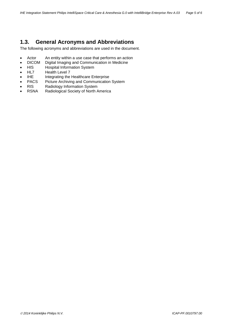## **1.3. General Acronyms and Abbreviations**

The following acronyms and abbreviations are used in the document.

- Actor An entity within a use case that performs an action
- DICOM Digital Imaging and Communication in Medicine
- HIS Hospital Information System<br>HL7 Health Level 7
- Health Level 7
- IHE Integrating the Healthcare Enterprise
- PACS Picture Archiving and Communication System
- RIS Radiology Information System
- RSNA Radiological Society of North America